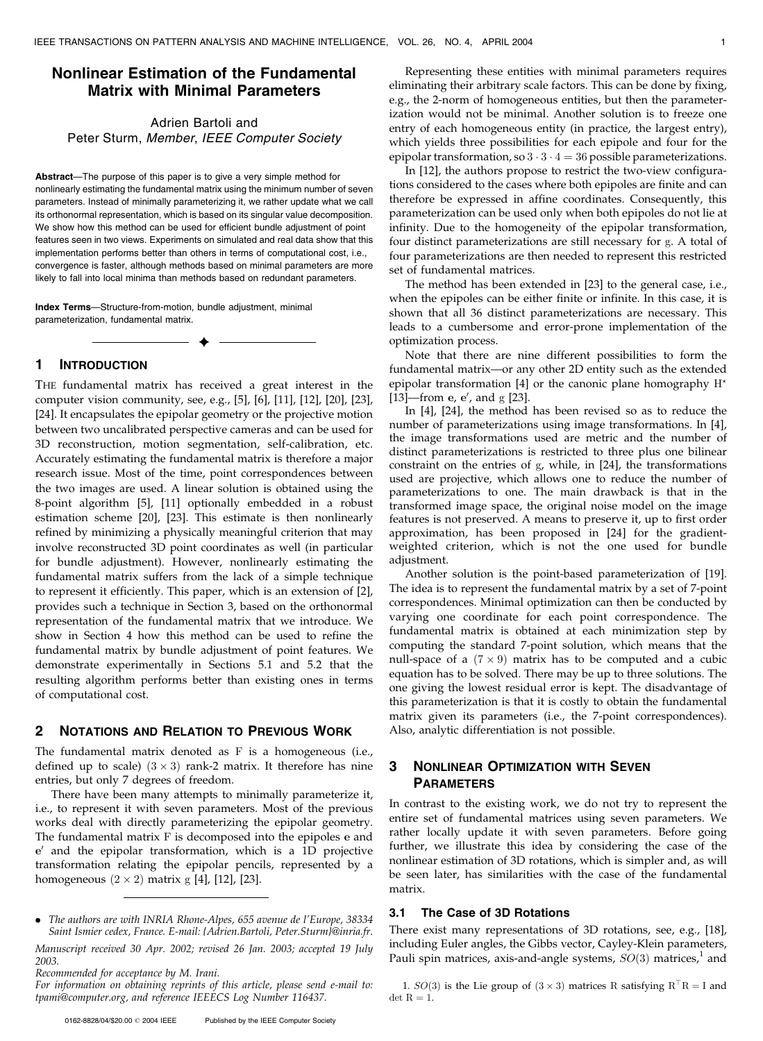# Nonlinear Estimation of the Fundamental Matrix with Minimal Parameters

# Adrien Bartoli and Peter Sturm, Member, IEEE Computer Society

Abstract-The purpose of this paper is to give a very simple method for nonlinearly estimating the fundamental matrix using the minimum number of seven parameters. Instead of minimally parameterizing it, we rather update what we call its orthonormal representation, which is based on its singular value decomposition. We show how this method can be used for efficient bundle adjustment of point features seen in two views. Experiments on simulated and real data show that this implementation performs better than others in terms of computational cost, i.e., convergence is faster, although methods based on minimal parameters are more likely to fall into local minima than methods based on redundant parameters.

 $\ddotmark$ 

Index Terms—Structure-from-motion, bundle adjustment, minimal parameterization, fundamental matrix.

### 1 INTRODUCTION

THE fundamental matrix has received a great interest in the computer vision community, see, e.g., [5], [6], [11], [12], [20], [23], [24]. It encapsulates the epipolar geometry or the projective motion between two uncalibrated perspective cameras and can be used for 3D reconstruction, motion segmentation, self-calibration, etc. Accurately estimating the fundamental matrix is therefore a major research issue. Most of the time, point correspondences between the two images are used. A linear solution is obtained using the 8-point algorithm [5], [11] optionally embedded in a robust estimation scheme [20], [23]. This estimate is then nonlinearly refined by minimizing a physically meaningful criterion that may involve reconstructed 3D point coordinates as well (in particular for bundle adjustment). However, nonlinearly estimating the fundamental matrix suffers from the lack of a simple technique to represent it efficiently. This paper, which is an extension of [2], provides such a technique in Section 3, based on the orthonormal representation of the fundamental matrix that we introduce. We show in Section 4 how this method can be used to refine the fundamental matrix by bundle adjustment of point features. We demonstrate experimentally in Sections 5.1 and 5.2 that the resulting algorithm performs better than existing ones in terms of computational cost.

#### 2 NOTATIONS AND RELATION TO PREVIOUS WORK

The fundamental matrix denoted as F is a homogeneous (i.e., defined up to scale)  $(3 \times 3)$  rank-2 matrix. It therefore has nine entries, but only 7 degrees of freedom.

There have been many attempts to minimally parameterize it, i.e., to represent it with seven parameters. Most of the previous works deal with directly parameterizing the epipolar geometry. The fundamental matrix F is decomposed into the epipoles e and  $e'$  and the epipolar transformation, which is a 1D projective transformation relating the epipolar pencils, represented by a homogeneous  $(2 \times 2)$  matrix g [4], [12], [23].

Recommended for acceptance by M. Irani.

For information on obtaining reprints of this article, please send e-mail to: tpami@computer.org, and reference IEEECS Log Number 116437.

Representing these entities with minimal parameters requires eliminating their arbitrary scale factors. This can be done by fixing, e.g., the 2-norm of homogeneous entities, but then the parameterization would not be minimal. Another solution is to freeze one entry of each homogeneous entity (in practice, the largest entry), which yields three possibilities for each epipole and four for the epipolar transformation, so  $3 \cdot 3 \cdot 4 = 36$  possible parameterizations.

In [12], the authors propose to restrict the two-view configurations considered to the cases where both epipoles are finite and can therefore be expressed in affine coordinates. Consequently, this parameterization can be used only when both epipoles do not lie at infinity. Due to the homogeneity of the epipolar transformation, four distinct parameterizations are still necessary for g. A total of four parameterizations are then needed to represent this restricted set of fundamental matrices.

The method has been extended in [23] to the general case, i.e., when the epipoles can be either finite or infinite. In this case, it is shown that all 36 distinct parameterizations are necessary. This leads to a cumbersome and error-prone implementation of the optimization process.

Note that there are nine different possibilities to form the fundamental matrix—or any other 2D entity such as the extended epipolar transformation [4] or the canonic plane homography H<sup>\*</sup> [13]—from  $e$ ,  $e'$ , and  $g$  [23].

In [4], [24], the method has been revised so as to reduce the number of parameterizations using image transformations. In [4], the image transformations used are metric and the number of distinct parameterizations is restricted to three plus one bilinear constraint on the entries of g, while, in [24], the transformations used are projective, which allows one to reduce the number of parameterizations to one. The main drawback is that in the transformed image space, the original noise model on the image features is not preserved. A means to preserve it, up to first order approximation, has been proposed in [24] for the gradientweighted criterion, which is not the one used for bundle adjustment.

Another solution is the point-based parameterization of [19]. The idea is to represent the fundamental matrix by a set of 7-point correspondences. Minimal optimization can then be conducted by varying one coordinate for each point correspondence. The fundamental matrix is obtained at each minimization step by computing the standard 7-point solution, which means that the null-space of a  $(7 \times 9)$  matrix has to be computed and a cubic equation has to be solved. There may be up to three solutions. The one giving the lowest residual error is kept. The disadvantage of this parameterization is that it is costly to obtain the fundamental matrix given its parameters (i.e., the 7-point correspondences). Also, analytic differentiation is not possible.

# 3 NONLINEAR OPTIMIZATION WITH SEVEN PARAMETERS

In contrast to the existing work, we do not try to represent the entire set of fundamental matrices using seven parameters. We rather locally update it with seven parameters. Before going further, we illustrate this idea by considering the case of the nonlinear estimation of 3D rotations, which is simpler and, as will be seen later, has similarities with the case of the fundamental matrix.

# 3.1 The Case of 3D Rotations

There exist many representations of 3D rotations, see, e.g., [18], including Euler angles, the Gibbs vector, Cayley-Klein parameters, Pauli spin matrices, axis-and-angle systems,  $SO(3)$  matrices,<sup>1</sup> and

1.  $SO(3)$  is the Lie group of  $(3 \times 3)$  matrices R satisfying  $R^{\top}R = I$  and  $\det R = 1.$ 

<sup>.</sup> The authors are with INRIA Rhone-Alpes, 655 avenue de l'Europe, 38334 Saint Ismier cedex, France. E-mail: {Adrien.Bartoli, Peter.Sturm}@inria.fr.

Manuscript received 30 Apr. 2002; revised 26 Jan. 2003; accepted 19 July 2003.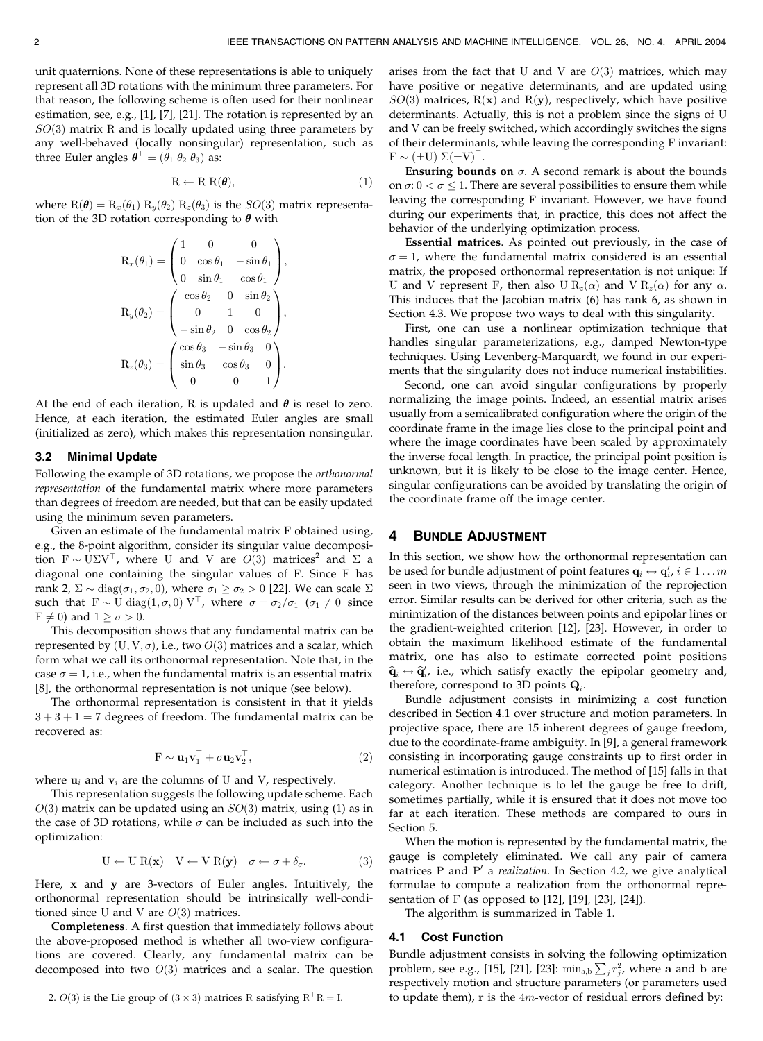unit quaternions. None of these representations is able to uniquely represent all 3D rotations with the minimum three parameters. For that reason, the following scheme is often used for their nonlinear estimation, see, e.g., [1], [7], [21]. The rotation is represented by an  $SO(3)$  matrix R and is locally updated using three parameters by any well-behaved (locally nonsingular) representation, such as three Euler angles  $\boldsymbol{\theta}^{\top} = (\theta_1 \ \theta_2 \ \theta_3)$  as:

$$
R \leftarrow R R(\theta), \tag{1}
$$

where  $R(\theta) = R_x(\theta_1) R_y(\theta_2) R_z(\theta_3)$  is the  $SO(3)$  matrix representation of the 3D rotation corresponding to  $\theta$  with

$$
\mathbf{R}_x(\theta_1) = \begin{pmatrix} 1 & 0 & 0 \\ 0 & \cos \theta_1 & -\sin \theta_1 \\ 0 & \sin \theta_1 & \cos \theta_1 \end{pmatrix},
$$

$$
\mathbf{R}_y(\theta_2) = \begin{pmatrix} \cos \theta_2 & 0 & \sin \theta_2 \\ 0 & 1 & 0 \\ -\sin \theta_2 & 0 & \cos \theta_2 \\ -\sin \theta_2 & 0 & \cos \theta_2 \end{pmatrix},
$$

$$
\mathbf{R}_z(\theta_3) = \begin{pmatrix} \cos \theta_3 & -\sin \theta_3 & 0 \\ \sin \theta_3 & \cos \theta_3 & 0 \\ 0 & 0 & 1 \end{pmatrix}.
$$

At the end of each iteration, R is updated and  $\theta$  is reset to zero. Hence, at each iteration, the estimated Euler angles are small (initialized as zero), which makes this representation nonsingular.

#### 3.2 Minimal Update

Following the example of 3D rotations, we propose the orthonormal representation of the fundamental matrix where more parameters than degrees of freedom are needed, but that can be easily updated using the minimum seven parameters.

Given an estimate of the fundamental matrix F obtained using, e.g., the 8-point algorithm, consider its singular value decomposition  $F \sim U\Sigma V^{\top}$ , where U and V are  $O(3)$  matrices<sup>2</sup> and  $\Sigma$  a diagonal one containing the singular values of F. Since F has rank 2,  $\Sigma \sim \text{diag}(\sigma_1, \sigma_2, 0)$ , where  $\sigma_1 \ge \sigma_2 > 0$  [22]. We can scale  $\Sigma$ such that  $F \sim U \text{ diag}(1, \sigma, 0) V^{\top}$ , where  $\sigma = \sigma_2/\sigma_1$  ( $\sigma_1 \neq 0$  since  $F \neq 0$ ) and  $1 \geq \sigma > 0$ .

This decomposition shows that any fundamental matrix can be represented by  $(\mathrm{U}, \mathrm{V}, \sigma)$ , i.e., two  $O(3)$  matrices and a scalar, which form what we call its orthonormal representation. Note that, in the case  $\sigma = 1$ , i.e., when the fundamental matrix is an essential matrix [8], the orthonormal representation is not unique (see below).

The orthonormal representation is consistent in that it yields  $3 + 3 + 1 = 7$  degrees of freedom. The fundamental matrix can be recovered as:

$$
\mathbf{F} \sim \mathbf{u}_1 \mathbf{v}_1^\top + \sigma \mathbf{u}_2 \mathbf{v}_2^\top,\tag{2}
$$

where  $\mathbf{u}_i$  and  $\mathbf{v}_i$  are the columns of U and V, respectively.

This representation suggests the following update scheme. Each  $O(3)$  matrix can be updated using an  $SO(3)$  matrix, using (1) as in the case of 3D rotations, while  $\sigma$  can be included as such into the optimization:

$$
U \leftarrow U R(x) \quad V \leftarrow V R(y) \quad \sigma \leftarrow \sigma + \delta_{\sigma}.
$$
 (3)

Here, x and y are 3-vectors of Euler angles. Intuitively, the orthonormal representation should be intrinsically well-conditioned since U and V are  $O(3)$  matrices.

Completeness. A first question that immediately follows about the above-proposed method is whether all two-view configurations are covered. Clearly, any fundamental matrix can be decomposed into two  $O(3)$  matrices and a scalar. The question arises from the fact that U and V are  $O(3)$  matrices, which may have positive or negative determinants, and are updated using  $SO(3)$  matrices, R(x) and R(y), respectively, which have positive determinants. Actually, this is not a problem since the signs of U and V can be freely switched, which accordingly switches the signs of their determinants, while leaving the corresponding F invariant:  $F \sim (\pm U) \Sigma (\pm V)^{\top}.$ 

**Ensuring bounds on**  $\sigma$ . A second remark is about the bounds on  $\sigma$ :  $0 < \sigma \leq 1.$  There are several possibilities to ensure them while leaving the corresponding F invariant. However, we have found during our experiments that, in practice, this does not affect the behavior of the underlying optimization process.

Essential matrices. As pointed out previously, in the case of  $\sigma = 1$ , where the fundamental matrix considered is an essential matrix, the proposed orthonormal representation is not unique: If U and V represent F, then also U  $R_z(\alpha)$  and V  $R_z(\alpha)$  for any  $\alpha$ . This induces that the Jacobian matrix (6) has rank 6, as shown in Section 4.3. We propose two ways to deal with this singularity.

First, one can use a nonlinear optimization technique that handles singular parameterizations, e.g., damped Newton-type techniques. Using Levenberg-Marquardt, we found in our experiments that the singularity does not induce numerical instabilities.

Second, one can avoid singular configurations by properly normalizing the image points. Indeed, an essential matrix arises usually from a semicalibrated configuration where the origin of the coordinate frame in the image lies close to the principal point and where the image coordinates have been scaled by approximately the inverse focal length. In practice, the principal point position is unknown, but it is likely to be close to the image center. Hence, singular configurations can be avoided by translating the origin of the coordinate frame off the image center.

### 4 BUNDLE ADJUSTMENT

In this section, we show how the orthonormal representation can be used for bundle adjustment of point features  $\mathbf{q}_i \leftrightarrow \mathbf{q}_i', i \in 1 \dots m$ seen in two views, through the minimization of the reprojection error. Similar results can be derived for other criteria, such as the minimization of the distances between points and epipolar lines or the gradient-weighted criterion [12], [23]. However, in order to obtain the maximum likelihood estimate of the fundamental matrix, one has also to estimate corrected point positions  $\widehat{\mathbf q}_i \leftrightarrow \widehat{\mathbf q}_{i\prime}^\prime$  i.e., which satisfy exactly the epipolar geometry and, therefore, correspond to 3D points  $Q_i$ .

Bundle adjustment consists in minimizing a cost function described in Section 4.1 over structure and motion parameters. In projective space, there are 15 inherent degrees of gauge freedom, due to the coordinate-frame ambiguity. In [9], a general framework consisting in incorporating gauge constraints up to first order in numerical estimation is introduced. The method of [15] falls in that category. Another technique is to let the gauge be free to drift, sometimes partially, while it is ensured that it does not move too far at each iteration. These methods are compared to ours in Section 5.

When the motion is represented by the fundamental matrix, the gauge is completely eliminated. We call any pair of camera matrices P and P' a realization. In Section 4.2, we give analytical formulae to compute a realization from the orthonormal representation of F (as opposed to  $[12]$ ,  $[19]$ ,  $[23]$ ,  $[24]$ ).

The algorithm is summarized in Table 1.

#### 4.1 Cost Function

Bundle adjustment consists in solving the following optimization problem, see e.g., [15], [21], [23]:  $\min_{a,b} \sum_j r_j^2$ , where a and b are respectively motion and structure parameters (or parameters used to update them),  $r$  is the  $4m$ -vector of residual errors defined by: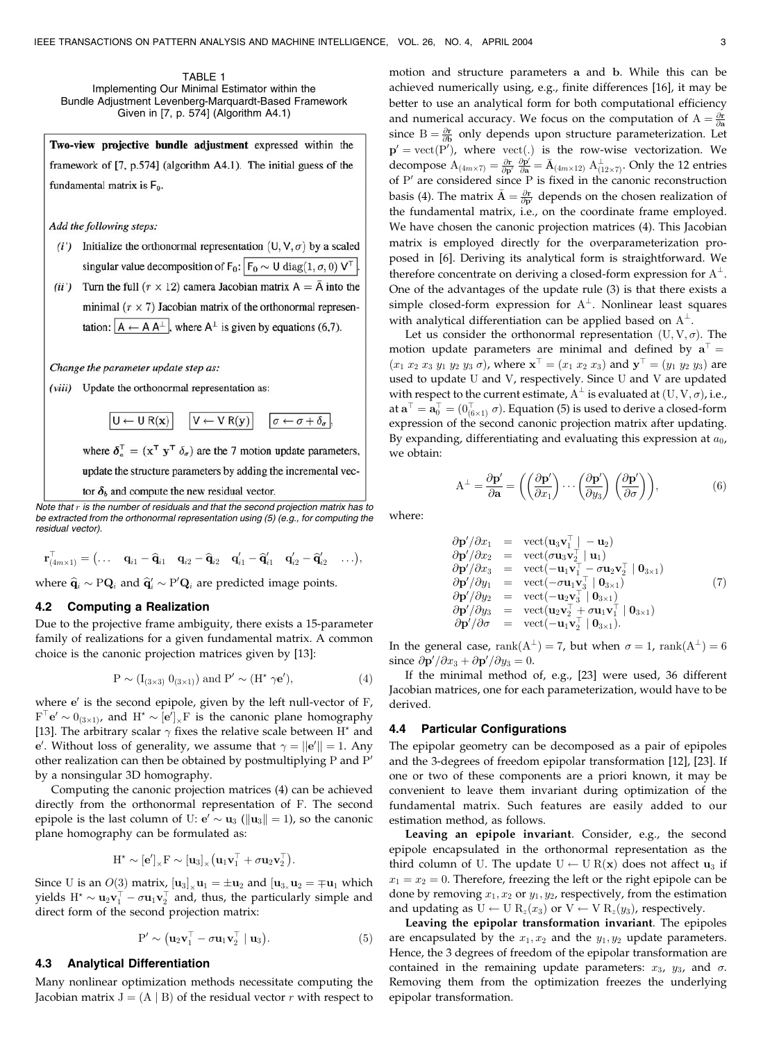TABLE 1 Implementing Our Minimal Estimator within the Bundle Adjustment Levenberg-Marquardt-Based Framework Given in [7, p. 574] (Algorithm A4.1)

Two-view projective bundle adjustment expressed within the framework of [7, p.574] (algorithm A4.1). The initial guess of the fundamental matrix is  $F_0$ .

Add the following steps:

- (i') Initialize the orthonormal representation  $(U, V, \sigma)$  by a scaled singular value decomposition of  $F_0$ :  $F_0 \sim U \text{ diag}(1, \sigma, 0) V^{\top}$ .
- (ii') Turn the full  $(r \times 12)$  camera Jacobian matrix  $A = \overline{A}$  into the minimal  $(r \times 7)$  Jacobian matrix of the orthonormal representation:  $|A \leftarrow A A^{\perp}|$ , where  $A^{\perp}$  is given by equations (6,7).

Change the parameter update step as:

 $U \leftarrow U R(x)$ 

(viii) Update the orthonormal representation as:

 $V \leftarrow V R(y)$ where  $\delta_a^{\mathsf{T}} = (\mathbf{x}^{\mathsf{T}} \; \mathbf{y}^{\mathsf{T}} \; \delta_\sigma)$  are the 7 motion update parameters,

 $\sigma \leftarrow \sigma + \delta_{\sigma}$ 

update the structure parameters by adding the incremental vec-

tor  $\delta_b$  and compute the new residual vector.

Note that  $r$  is the number of residuals and that the second projection matrix has to be extracted from the orthonormal representation using (5) (e.g., for computing the residual vector).

$$
\mathbf{r}_{(4m\times1)}^\top = \big(\dots\quad\mathbf{q}_{i1}-\widehat{\mathbf{q}}_{i1}\quad\mathbf{q}_{i2}-\widehat{\mathbf{q}}_{i2}\quad\mathbf{q}_{i1}'-\widehat{\mathbf{q}}_{i1}'\quad\mathbf{q}_{i2}'-\widehat{\mathbf{q}}_{i2}'\quad\dots\big),
$$

where  $\widehat{\mathbf{q}}_i \sim \mathrm{PQ}_i$  and  $\widehat{\mathbf{q}}'_i \sim \mathrm{P}'\mathbf{Q}_i$  are predicted image points.

### 4.2 Computing a Realization

Due to the projective frame ambiguity, there exists a 15-parameter family of realizations for a given fundamental matrix. A common choice is the canonic projection matrices given by [13]:

$$
P \sim (I_{(3\times3)} 0_{(3\times1)}) \text{ and } P' \sim (H^{\star} \gamma \mathbf{e}'), \tag{4}
$$

where  $e'$  is the second epipole, given by the left null-vector of  $F$ ,  $F^{\top}e' \sim 0_{(3\times1)}$ , and  $H^{\star} \sim [e']_{\times}F$  is the canonic plane homography [13]. The arbitrary scalar  $\gamma$  fixes the relative scale between H<sup>\*</sup> and e'. Without loss of generality, we assume that  $\gamma = ||\mathbf{e}'|| = 1$ . Any other realization can then be obtained by postmultiplying  $P$  and  $P'$ by a nonsingular 3D homography.

Computing the canonic projection matrices (4) can be achieved directly from the orthonormal representation of F. The second epipole is the last column of U:  $e' \sim u_3$  ( $||u_3|| = 1$ ), so the canonic plane homography can be formulated as:

$$
\mathrm{H}^{\star} \sim [\mathbf{e}']_{\times} \mathrm{F} \sim [\mathbf{u}_3]_{\times} (\mathbf{u}_1 \mathbf{v}_1^{\top} + \sigma \mathbf{u}_2 \mathbf{v}_2^{\top}).
$$

Since U is an  $O(3)$  matrix,  $[\mathbf{u}_3]_{\times} \mathbf{u}_1 = \pm \mathbf{u}_2$  and  $[\mathbf{u}_{3_{\times}} \mathbf{u}_2 = \mp \mathbf{u}_1$  which yields  $H^{\star} \sim u_2 v_1^{\top} - \sigma u_1 v_2^{\top}$  and, thus, the particularly simple and direct form of the second projection matrix:

$$
P' \sim (\mathbf{u}_2 \mathbf{v}_1^\top - \sigma \mathbf{u}_1 \mathbf{v}_2^\top \mid \mathbf{u}_3). \tag{5}
$$

## 4.3 Analytical Differentiation

Many nonlinear optimization methods necessitate computing the Jacobian matrix  $J = (A | B)$  of the residual vector r with respect to motion and structure parameters a and b. While this can be achieved numerically using, e.g., finite differences [16], it may be better to use an analytical form for both computational efficiency and numerical accuracy. We focus on the computation of  $A = \frac{\partial \mathbf{r}}{\partial \mathbf{a}}$ since  $B = \frac{\partial r}{\partial b}$  only depends upon structure parameterization. Let  $\mathbf{p}' = \text{vect}(\mathbf{P}'),$  where  $\text{vect}(.)$  is the row-wise vectorization. We decompose  $A_{(4m \times 7)} = \frac{\partial \mathbf{r}}{\partial \mathbf{p}'} \frac{\partial \mathbf{p}'}{\partial \mathbf{a}} = \bar{A}_{(4m \times 12)} A_{(12 \times 7)}^{\perp}$ . Only the 12 entries of  $P'$  are considered since  $P$  is fixed in the canonic reconstruction basis (4). The matrix  $\bar{A} = \frac{\partial \mathbf{r}}{\partial \mathbf{p}'}$  depends on the chosen realization of the fundamental matrix, i.e., on the coordinate frame employed. We have chosen the canonic projection matrices (4). This Jacobian matrix is employed directly for the overparameterization proposed in [6]. Deriving its analytical form is straightforward. We therefore concentrate on deriving a closed-form expression for  $A^{\perp}$ . One of the advantages of the update rule (3) is that there exists a simple closed-form expression for  $A^{\perp}$ . Nonlinear least squares with analytical differentiation can be applied based on  $A^{\perp}$ .

Let us consider the orthonormal representation  $(U, V, \sigma)$ . The motion update parameters are minimal and defined by  $a^{\dagger} =$  $(x_1 \ x_2 \ x_3 \ y_1 \ y_2 \ y_3 \ \sigma)$ , where  $\mathbf{x}^{\top} = (x_1 \ x_2 \ x_3)$  and  $\mathbf{y}^{\top} = (y_1 \ y_2 \ y_3)$  are used to update U and V, respectively. Since U and V are updated with respect to the current estimate,  $\mathrm{A}^{\perp}$  is evaluated at  $(\mathrm{U},\mathrm{V},\sigma)$ , i.e., at  $\mathbf{a}^\top = \mathbf{a}_0^\top = (0_{(6\times 1)}^\top\ \sigma).$  Equation (5) is used to derive a closed-form expression of the second canonic projection matrix after updating. By expanding, differentiating and evaluating this expression at  $a_0$ , we obtain:

$$
A^{\perp} = \frac{\partial \mathbf{p}'}{\partial \mathbf{a}} = \left( \left( \frac{\partial \mathbf{p}'}{\partial x_1} \right) \cdots \left( \frac{\partial \mathbf{p}'}{\partial y_3} \right) \left( \frac{\partial \mathbf{p}'}{\partial \sigma} \right) \right),\tag{6}
$$

where:

$$
\partial \mathbf{p}'/\partial x_1 = \text{vect}(\mathbf{u}_3 \mathbf{v}_1^\top | - \mathbf{u}_2) \n\partial \mathbf{p}'/\partial x_2 = \text{vect}(\sigma \mathbf{u}_3 \mathbf{v}_2^\top | \mathbf{u}_1) \n\partial \mathbf{p}'/\partial x_3 = \text{vect}(-\mathbf{u}_1 \mathbf{v}_1^\top - \sigma \mathbf{u}_2 \mathbf{v}_2^\top | \mathbf{0}_{3\times 1}) \n\partial \mathbf{p}'/\partial y_1 = \text{vect}(-\sigma \mathbf{u}_1 \mathbf{v}_3^\top | \mathbf{0}_{3\times 1}) \n\partial \mathbf{p}'/\partial y_2 = \text{vect}(-\mathbf{u}_2 \mathbf{v}_3^\top | \mathbf{0}_{3\times 1}) \n\partial \mathbf{p}'/\partial y_3 = \text{vect}(\mathbf{u}_2 \mathbf{v}_2^\top + \sigma \mathbf{u}_1 \mathbf{v}_1^\top | \mathbf{0}_{3\times 1}) \n\partial \mathbf{p}'/\partial \sigma = \text{vect}(-\mathbf{u}_1 \mathbf{v}_2^\top | \mathbf{0}_{3\times 1}).
$$
\n(7)

In the general case,  $\text{rank}(A^{\perp}) = 7$ , but when  $\sigma = 1$ ,  $\text{rank}(A^{\perp}) = 6$ since  $\partial \mathbf{p}' / \partial x_3 + \partial \mathbf{p}' / \partial y_3 = 0$ .

If the minimal method of, e.g., [23] were used, 36 different Jacobian matrices, one for each parameterization, would have to be derived.

#### 4.4 Particular Configurations

The epipolar geometry can be decomposed as a pair of epipoles and the 3-degrees of freedom epipolar transformation [12], [23]. If one or two of these components are a priori known, it may be convenient to leave them invariant during optimization of the fundamental matrix. Such features are easily added to our estimation method, as follows.

Leaving an epipole invariant. Consider, e.g., the second epipole encapsulated in the orthonormal representation as the third column of U. The update  $U \leftarrow U R(\mathbf{x})$  does not affect  $\mathbf{u}_3$  if  $x_1 = x_2 = 0$ . Therefore, freezing the left or the right epipole can be done by removing  $x_1, x_2$  or  $y_1, y_2$ , respectively, from the estimation and updating as  $U \leftarrow U R_z(x_3)$  or  $V \leftarrow V R_z(y_3)$ , respectively.

Leaving the epipolar transformation invariant. The epipoles are encapsulated by the  $x_1, x_2$  and the  $y_1, y_2$  update parameters. Hence, the 3 degrees of freedom of the epipolar transformation are contained in the remaining update parameters:  $x_3$ ,  $y_3$ , and  $\sigma$ . Removing them from the optimization freezes the underlying epipolar transformation.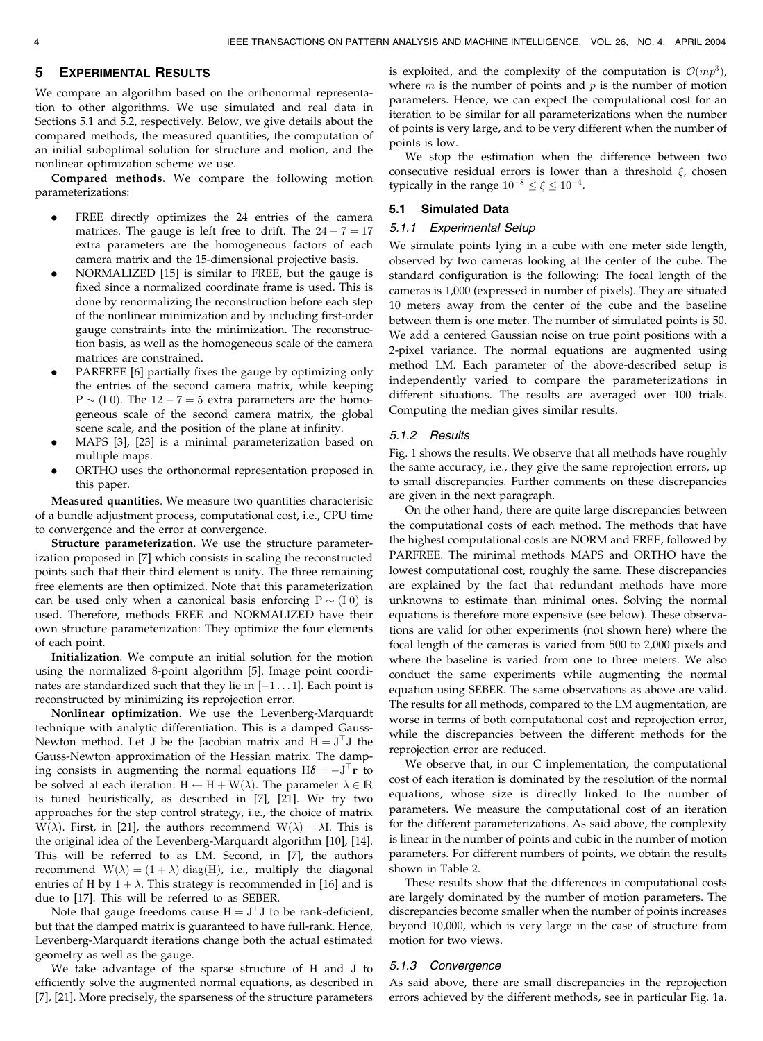### 5 EXPERIMENTAL RESULTS

We compare an algorithm based on the orthonormal representation to other algorithms. We use simulated and real data in Sections 5.1 and 5.2, respectively. Below, we give details about the compared methods, the measured quantities, the computation of an initial suboptimal solution for structure and motion, and the nonlinear optimization scheme we use.

Compared methods. We compare the following motion parameterizations:

- FREE directly optimizes the 24 entries of the camera matrices. The gauge is left free to drift. The  $24 - 7 = 17$ extra parameters are the homogeneous factors of each camera matrix and the 15-dimensional projective basis.
- . NORMALIZED [15] is similar to FREE, but the gauge is fixed since a normalized coordinate frame is used. This is done by renormalizing the reconstruction before each step of the nonlinear minimization and by including first-order gauge constraints into the minimization. The reconstruction basis, as well as the homogeneous scale of the camera matrices are constrained.
- . PARFREE [6] partially fixes the gauge by optimizing only the entries of the second camera matrix, while keeping  $P \sim (I 0)$ . The  $12 - 7 = 5$  extra parameters are the homogeneous scale of the second camera matrix, the global scene scale, and the position of the plane at infinity.
- . MAPS [3], [23] is a minimal parameterization based on multiple maps.
- . ORTHO uses the orthonormal representation proposed in this paper.

Measured quantities. We measure two quantities characterisic of a bundle adjustment process, computational cost, i.e., CPU time to convergence and the error at convergence.

Structure parameterization. We use the structure parameterization proposed in [7] which consists in scaling the reconstructed points such that their third element is unity. The three remaining free elements are then optimized. Note that this parameterization can be used only when a canonical basis enforcing  $P \sim (I\ 0)$  is used. Therefore, methods FREE and NORMALIZED have their own structure parameterization: They optimize the four elements of each point.

Initialization. We compute an initial solution for the motion using the normalized 8-point algorithm [5]. Image point coordinates are standardized such that they lie in  $[-1 \dots 1]$ . Each point is reconstructed by minimizing its reprojection error.

Nonlinear optimization. We use the Levenberg-Marquardt technique with analytic differentiation. This is a damped Gauss-Newton method. Let J be the Jacobian matrix and  $H = J<sup>T</sup>J$  the Gauss-Newton approximation of the Hessian matrix. The damping consists in augmenting the normal equations  $H\delta = -J^{\top}\mathbf{r}$  to be solved at each iteration:  $H \leftarrow H + W(\lambda)$ . The parameter  $\lambda \in \mathbb{R}$ is tuned heuristically, as described in [7], [21]. We try two approaches for the step control strategy, i.e., the choice of matrix W( $\lambda$ ). First, in [21], the authors recommend W( $\lambda$ ) =  $\lambda$ I. This is the original idea of the Levenberg-Marquardt algorithm [10], [14]. This will be referred to as LM. Second, in [7], the authors recommend  $W(\lambda) = (1 + \lambda) \text{ diag}(H)$ , i.e., multiply the diagonal entries of H by  $1 + \lambda$ . This strategy is recommended in [16] and is due to [17]. This will be referred to as SEBER.

Note that gauge freedoms cause  $H = J<sup>T</sup>J$  to be rank-deficient, but that the damped matrix is guaranteed to have full-rank. Hence, Levenberg-Marquardt iterations change both the actual estimated geometry as well as the gauge.

We take advantage of the sparse structure of H and J to efficiently solve the augmented normal equations, as described in [7], [21]. More precisely, the sparseness of the structure parameters is exploited, and the complexity of the computation is  $\mathcal{O}(mp^3)$ , where  $m$  is the number of points and  $p$  is the number of motion parameters. Hence, we can expect the computational cost for an iteration to be similar for all parameterizations when the number of points is very large, and to be very different when the number of points is low.

We stop the estimation when the difference between two consecutive residual errors is lower than a threshold  $\xi$ , chosen typically in the range  $10^{-8} \le \xi \le 10^{-4}$ .

### 5.1 Simulated Data

#### 5.1.1 Experimental Setup

We simulate points lying in a cube with one meter side length, observed by two cameras looking at the center of the cube. The standard configuration is the following: The focal length of the cameras is 1,000 (expressed in number of pixels). They are situated 10 meters away from the center of the cube and the baseline between them is one meter. The number of simulated points is 50. We add a centered Gaussian noise on true point positions with a 2-pixel variance. The normal equations are augmented using method LM. Each parameter of the above-described setup is independently varied to compare the parameterizations in different situations. The results are averaged over 100 trials. Computing the median gives similar results.

#### 5.1.2 Results

Fig. 1 shows the results. We observe that all methods have roughly the same accuracy, i.e., they give the same reprojection errors, up to small discrepancies. Further comments on these discrepancies are given in the next paragraph.

On the other hand, there are quite large discrepancies between the computational costs of each method. The methods that have the highest computational costs are NORM and FREE, followed by PARFREE. The minimal methods MAPS and ORTHO have the lowest computational cost, roughly the same. These discrepancies are explained by the fact that redundant methods have more unknowns to estimate than minimal ones. Solving the normal equations is therefore more expensive (see below). These observations are valid for other experiments (not shown here) where the focal length of the cameras is varied from 500 to 2,000 pixels and where the baseline is varied from one to three meters. We also conduct the same experiments while augmenting the normal equation using SEBER. The same observations as above are valid. The results for all methods, compared to the LM augmentation, are worse in terms of both computational cost and reprojection error, while the discrepancies between the different methods for the reprojection error are reduced.

We observe that, in our C implementation, the computational cost of each iteration is dominated by the resolution of the normal equations, whose size is directly linked to the number of parameters. We measure the computational cost of an iteration for the different parameterizations. As said above, the complexity is linear in the number of points and cubic in the number of motion parameters. For different numbers of points, we obtain the results shown in Table 2.

These results show that the differences in computational costs are largely dominated by the number of motion parameters. The discrepancies become smaller when the number of points increases beyond 10,000, which is very large in the case of structure from motion for two views.

#### 5.1.3 Convergence

As said above, there are small discrepancies in the reprojection errors achieved by the different methods, see in particular Fig. 1a.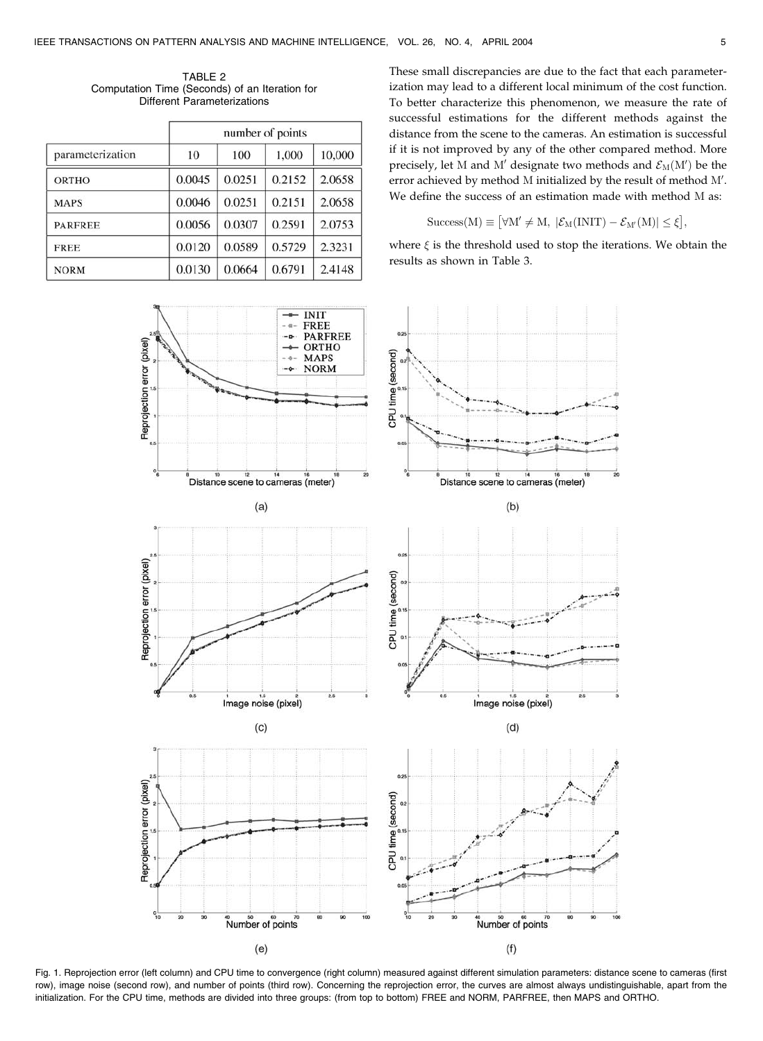TABLE 2 Computation Time (Seconds) of an Iteration for Different Parameterizations

|                  | number of points |        |        |        |  |  |  |  |  |
|------------------|------------------|--------|--------|--------|--|--|--|--|--|
| parameterization | 10               | 100    | 1,000  | 10,000 |  |  |  |  |  |
| <b>ORTHO</b>     | 0.0045           | 0.0251 | 0.2152 | 2.0658 |  |  |  |  |  |
| <b>MAPS</b>      | 0.0046           | 0.0251 | 0.2151 | 2.0658 |  |  |  |  |  |
| <b>PARFREE</b>   | 0.0056           | 0.0307 | 0.2591 | 2.0753 |  |  |  |  |  |
| <b>FREE</b>      | 0.0120           | 0.0589 | 0.5729 | 2.3231 |  |  |  |  |  |
| <b>NORM</b>      | 0.0130           | 0.0664 | 0.6791 | 2.4148 |  |  |  |  |  |

These small discrepancies are due to the fact that each parameterization may lead to a different local minimum of the cost function. To better characterize this phenomenon, we measure the rate of successful estimations for the different methods against the distance from the scene to the cameras. An estimation is successful if it is not improved by any of the other compared method. More precisely, let M and M' designate two methods and  $\mathcal{E}_M(M')$  be the error achieved by method M initialized by the result of method  $M'$ . We define the success of an estimation made with method M as:

$$
\mathrm{Success}(M) \equiv \big[\forall M' \neq M, \ |\mathcal{E}_M(\mathrm{INIT}) - \mathcal{E}_{M'}(M)| \leq \xi\big],
$$

where  $\xi$  is the threshold used to stop the iterations. We obtain the results as shown in Table 3.



Fig. 1. Reprojection error (left column) and CPU time to convergence (right column) measured against different simulation parameters: distance scene to cameras (first row), image noise (second row), and number of points (third row). Concerning the reprojection error, the curves are almost always undistinguishable, apart from the initialization. For the CPU time, methods are divided into three groups: (from top to bottom) FREE and NORM, PARFREE, then MAPS and ORTHO.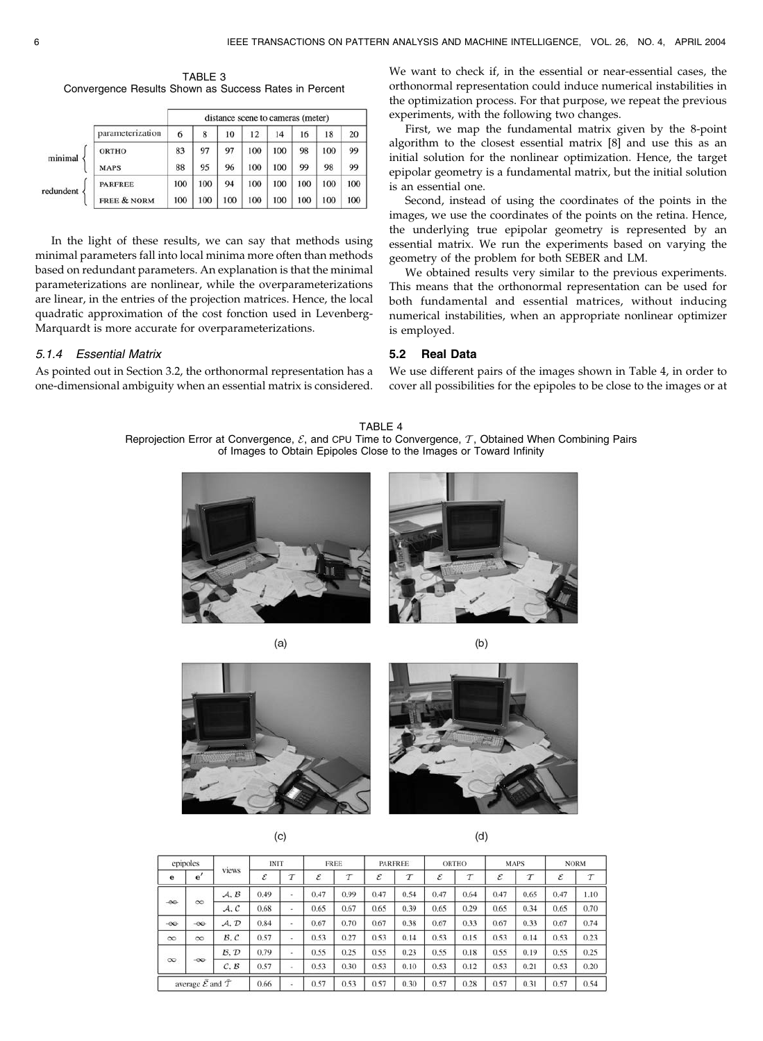TABLE 3 Convergence Results Shown as Success Rates in Percent

|           |                        | distance scene to cameras (meter) |     |     |     |     |     |     |     |  |  |
|-----------|------------------------|-----------------------------------|-----|-----|-----|-----|-----|-----|-----|--|--|
|           | parameterization       | 6                                 | 8   | 10  | 12  | 14  | 16  | 18  | 20  |  |  |
| minimal   | <b>ORTHO</b>           | 83                                | 97  | 97  | 100 | 100 | 98  | 100 | 99  |  |  |
|           | <b>MAPS</b>            | 88                                | 95  | 96  | 100 | 100 | 99  | 98  | 99  |  |  |
| redundent | <b>PARFREE</b>         | 100                               | 100 | 94  | 100 | 100 | 100 | 100 | 100 |  |  |
|           | <b>FREE &amp; NORM</b> | 100                               | 100 | 100 | 100 | 100 | 100 | 100 | 100 |  |  |

In the light of these results, we can say that methods using minimal parameters fall into local minima more often than methods based on redundant parameters. An explanation is that the minimal parameterizations are nonlinear, while the overparameterizations are linear, in the entries of the projection matrices. Hence, the local quadratic approximation of the cost fonction used in Levenberg-Marquardt is more accurate for overparameterizations.

# 5.1.4 Essential Matrix

As pointed out in Section 3.2, the orthonormal representation has a one-dimensional ambiguity when an essential matrix is considered. We want to check if, in the essential or near-essential cases, the orthonormal representation could induce numerical instabilities in the optimization process. For that purpose, we repeat the previous experiments, with the following two changes.

First, we map the fundamental matrix given by the 8-point algorithm to the closest essential matrix [8] and use this as an initial solution for the nonlinear optimization. Hence, the target epipolar geometry is a fundamental matrix, but the initial solution is an essential one.

Second, instead of using the coordinates of the points in the images, we use the coordinates of the points on the retina. Hence, the underlying true epipolar geometry is represented by an essential matrix. We run the experiments based on varying the geometry of the problem for both SEBER and LM.

We obtained results very similar to the previous experiments. This means that the orthonormal representation can be used for both fundamental and essential matrices, without inducing numerical instabilities, when an appropriate nonlinear optimizer is employed.

# 5.2 Real Data

We use different pairs of the images shown in Table 4, in order to cover all possibilities for the epipoles to be close to the images or at

TABLE 4 Reprojection Error at Convergence,  $\mathcal{E}$ , and CPU Time to Convergence,  $\mathcal{T}$ , Obtained When Combining Pairs of Images to Obtain Epipoles Close to the Images or Toward Infinity



 $(a)$ 



 $(b)$ 



 $(c)$ 

 $(d)$ 

| epipoles                                            |           |       | <b>INIT</b> |                          | <b>FREE</b> |        | <b>PARFREE</b> |        | ORTHO |        | <b>MAPS</b> |        | <b>NORM</b> |        |
|-----------------------------------------------------|-----------|-------|-------------|--------------------------|-------------|--------|----------------|--------|-------|--------|-------------|--------|-------------|--------|
| $\mathbf e$                                         | e'        | views | ε           | T                        | ε           | $\tau$ | ε              | $\tau$ | ε     | $\tau$ | ε           | $\tau$ | ε           | $\tau$ |
| $-\infty$                                           | $\infty$  | A, B  | 0.49        | $\overline{\phantom{a}}$ | 0.47        | 0.99   | 0.47           | 0.54   | 0.47  | 0.64   | 0.47        | 0.65   | 0.47        | 1.10   |
|                                                     |           | A, C  | 0.68        | ٠                        | 0.65        | 0.67   | 0.65           | 0.39   | 0.65  | 0.29   | 0.65        | 0.34   | 0.65        | 0.70   |
| $-\infty$                                           | $-\infty$ | A, D  | 0.84        |                          | 0.67        | 0.70   | 0.67           | 0.38   | 0.67  | 0.33   | 0.67        | 0.33   | 0.67        | 0.74   |
| $\infty$                                            | $\infty$  | B, C  | 0.57        | $\overline{\phantom{a}}$ | 0.53        | 0.27   | 0.53           | 0.14   | 0.53  | 0.15   | 0.53        | 0.14   | 0.53        | 0.23   |
| $\infty$                                            | $-\infty$ | B, D  | 0.79        | ۰                        | 0.55        | 0.25   | 0.55           | 0.23   | 0.55  | 0.18   | 0.55        | 0.19   | 0.55        | 0.25   |
|                                                     |           | C, B  | 0.57        | $\sim$                   | 0.53        | 0.30   | 0.53           | 0.10   | 0.53  | 0.12   | 0.53        | 0.21   | 0.53        | 0.20   |
| average $\bar{\mathcal{E}}$ and $\bar{\mathcal{T}}$ |           | 0.66  |             | 0.57                     | 0.53        | 0.57   | 0.30           | 0.57   | 0.28  | 0.57   | 0.31        | 0.57   | 0.54        |        |